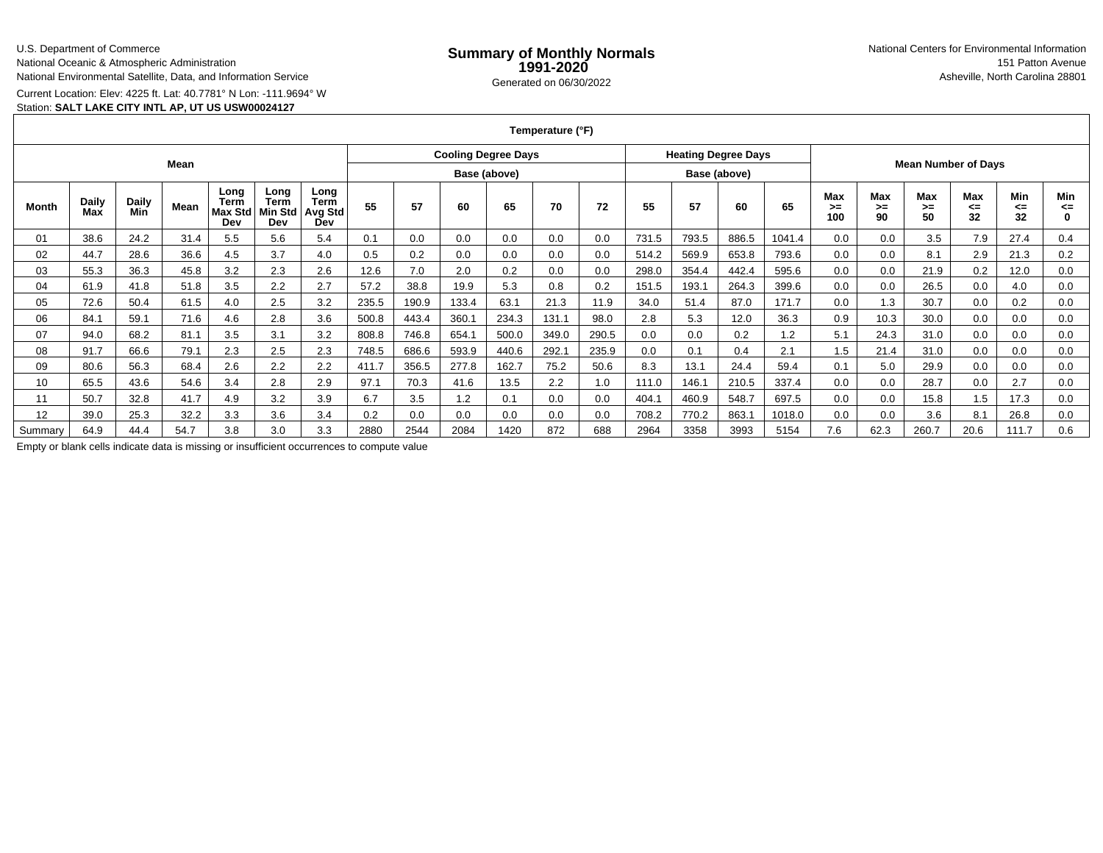### U.S. Department of Commerce

National Oceanic & Atmospheric Administration

National Environmental Satellite, Data, and Information Service

Current Location: Elev: 4225 ft. Lat: 40.7781° N Lon: -111.9694° W

## Station: **SALT LAKE CITY INTL AP, UT US USW00024127**

**Temperature (°F)**

| Mean         |              |              |      |                                       |                                |                                       | <b>Cooling Degree Days</b> |       |       |              |       |       | <b>Heating Degree Days</b> |       |              |        | <b>Mean Number of Days</b> |                 |                 |                        |                 |                |
|--------------|--------------|--------------|------|---------------------------------------|--------------------------------|---------------------------------------|----------------------------|-------|-------|--------------|-------|-------|----------------------------|-------|--------------|--------|----------------------------|-----------------|-----------------|------------------------|-----------------|----------------|
|              |              |              |      |                                       |                                |                                       |                            |       |       | Base (above) |       |       |                            |       | Base (above) |        |                            |                 |                 |                        |                 |                |
| <b>Month</b> | Daily<br>Max | Daily<br>Min | Mean | Long<br>Term<br><b>Max Std</b><br>Dev | Long<br>Term<br>Min Std<br>Dev | Long<br><b>Term</b><br>Avg Std<br>Dev | 55                         | 57    | 60    | 65           | 70    | 72    | 55                         | 57    | 60           | 65     | Max<br>>≕<br>100           | Max<br>≻=<br>90 | Max<br>>=<br>50 | <b>Max</b><br><=<br>32 | Min<br><=<br>32 | Min<br><=<br>0 |
| 01           | 38.6         | 24.2         | 31.4 | 5.5                                   | 5.6                            | 5.4                                   | 0.1                        | 0.0   | 0.0   | 0.0          | 0.0   | 0.0   | 731.5                      | 793.5 | 886.5        | 1041.4 | 0.0                        | 0.0             | 3.5             | 7.9                    | 27.4            | 0.4            |
| 02           | 44.7         | 28.6         | 36.6 | 4.5                                   | 3.7                            | 4.0                                   | 0.5                        | 0.2   | 0.0   | 0.0          | 0.0   | 0.0   | 514.2                      | 569.9 | 653.8        | 793.6  | 0.0                        | 0.0             | 8.1             | 2.9                    | 21.3            | 0.2            |
| 03           | 55.3         | 36.3         | 45.8 | 3.2                                   | 2.3                            | 2.6                                   | 12.6                       | 7.0   | 2.0   | 0.2          | 0.0   | 0.0   | 298.0                      | 354.4 | 442.4        | 595.6  | 0.0                        | 0.0             | 21.9            | $_{0.2}$               | 12.0            | 0.0            |
| 04           | 61.9         | 41.8         | 51.8 | 3.5                                   | 2.2                            | 2.7                                   | 57.2                       | 38.8  | 19.9  | 5.3          | 0.8   | 0.2   | 151.5                      | 193.1 | 264.3        | 399.6  | 0.0                        | 0.0             | 26.5            | 0.0                    | 4.0             | 0.0            |
| 05           | 72.6         | 50.4         | 61.5 | 4.0                                   | 2.5                            | 3.2                                   | 235.5                      | 190.9 | 133.4 | 63.7         | 21.3  | 11.9  | 34.0                       | 51.4  | 87.0         | 171.7  | 0.0                        | 1.3             | 30.7            | 0.0                    | 0.2             | 0.0            |
| 06           | 84.1         | 59.1         | 71.6 | 4.6                                   | 2.8                            | 3.6                                   | 500.8                      | 443.4 | 360.7 | 234.3        | 131.1 | 98.0  | 2.8                        | 5.3   | 12.0         | 36.3   | 0.9                        | 10.3            | 30.0            | 0.0                    | 0.0             | 0.0            |
| 07           | 94.0         | 68.2         | 81.1 | 3.5                                   | 3.1                            | 3.2                                   | 808.8                      | 746.8 | 654.1 | 500.0        | 349.0 | 290.5 | 0.0                        | 0.0   | 0.2          | 1.2    | 5.1                        | 24.3            | 31.0            | 0.0                    | 0.0             | 0.0            |
| 08           | 91.7         | 66.6         | 79.1 | 2.3                                   | 2.5                            | 2.3                                   | 748.5                      | 686.6 | 593.9 | 440.6        | 292.1 | 235.9 | 0.0                        | 0.1   | 0.4          | 2.1    | 1.5                        | 21.4            | 31.0            | 0.0                    | 0.0             | 0.0            |
| 09           | 80.6         | 56.3         | 68.4 | 2.6                                   | 2.2                            | 2.2                                   | 411.7                      | 356.5 | 277.8 | 162.7        | 75.2  | 50.6  | 8.3                        | 13.1  | 24.4         | 59.4   | 0.1                        | 5.0             | 29.9            | 0.0                    | 0.0             | 0.0            |
| 10           | 65.5         | 43.6         | 54.6 | 3.4                                   | 2.8                            | 2.9                                   | 97.1                       | 70.3  | 41.6  | 13.5         | 2.2   | 1.0   | 111.0                      | 146.1 | 210.5        | 337.4  | 0.0                        | 0.0             | 28.7            | 0.0                    | 2.7             | 0.0            |
| 11           | 50.7         | 32.8         | 41.7 | 4.9                                   | 3.2                            | 3.9                                   | 6.7                        | 3.5   | 1.2   | 0.1          | 0.0   | 0.0   | 404.7                      | 460.9 | 548.7        | 697.5  | 0.0                        | 0.0             | 15.8            | 1.5                    | 17.3            | 0.0            |
| 12           | 39.0         | 25.3         | 32.2 | 3.3                                   | 3.6                            | 3.4                                   | 0.2                        | 0.0   | 0.0   | 0.0          | 0.0   | 0.0   | 708.2                      | 770.2 | 863.1        | 1018.0 | 0.0                        | 0.0             | 3.6             | 8.1                    | 26.8            | 0.0            |
| Summary      | 64.9         | 44.4         | 54.7 | 3.8                                   | 3.0                            | 3.3                                   | 2880                       | 2544  | 2084  | 1420         | 872   | 688   | 2964                       | 3358  | 3993         | 5154   | 7.6                        | 62.3            | 260.7           | 20.6                   | 111.7           | 0.6            |

Empty or blank cells indicate data is missing or insufficient occurrences to compute value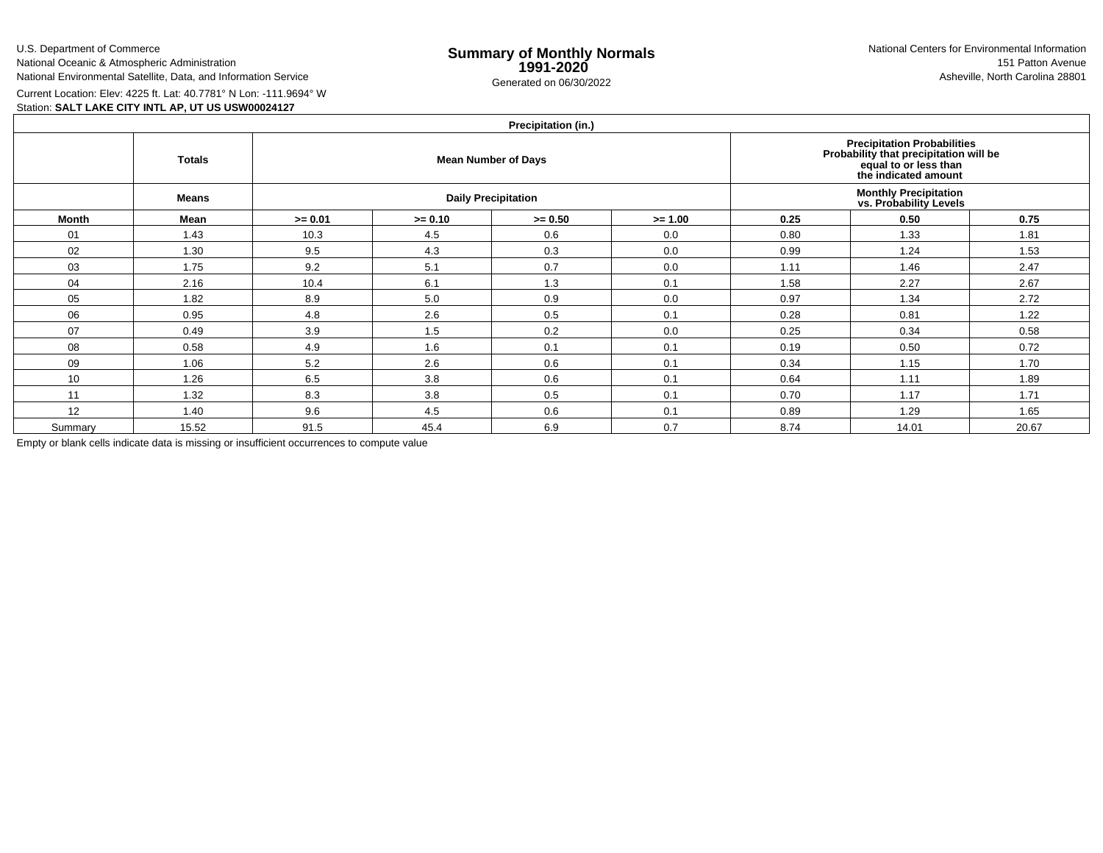U.S. Department of Commerce

National Oceanic & Atmospheric AdministrationNational Environmental Satellite, Data, and Information Service

e **Summary of Monthly Normals**<br> **1991-2020** 151 Patton Avenue **1991-2020** 1997-2020 e Generated on 06/30/2022 Asheville, North Carolina 28801 National Centers for Environmental Information151 Patton Avenue

Current Location: Elev: 4225 ft. Lat: 40.7781° N Lon: -111.9694° W

## Station: **SALT LAKE CITY INTL AP, UT US USW00024127**

| Precipitation (in.) |  |
|---------------------|--|
|                     |  |

|         | $\cdots$                                                                                                                                                                     |           |           |                            |           |                                                         |       |       |  |  |  |  |  |  |
|---------|------------------------------------------------------------------------------------------------------------------------------------------------------------------------------|-----------|-----------|----------------------------|-----------|---------------------------------------------------------|-------|-------|--|--|--|--|--|--|
|         | <b>Precipitation Probabilities</b><br>Probability that precipitation will be<br>equal to or less than<br><b>Totals</b><br><b>Mean Number of Days</b><br>the indicated amount |           |           |                            |           |                                                         |       |       |  |  |  |  |  |  |
|         | <b>Means</b>                                                                                                                                                                 |           |           | <b>Daily Precipitation</b> |           | <b>Monthly Precipitation<br/>vs. Probability Levels</b> |       |       |  |  |  |  |  |  |
| Month   | Mean                                                                                                                                                                         | $>= 0.01$ | $>= 0.10$ | $>= 0.50$                  | $>= 1.00$ | 0.25                                                    | 0.50  | 0.75  |  |  |  |  |  |  |
| 01      | 1.43                                                                                                                                                                         | 10.3      | 4.5       | 0.6                        | 0.0       | 0.80                                                    | 1.33  | 1.81  |  |  |  |  |  |  |
| 02      | 1.30                                                                                                                                                                         | 9.5       | 4.3       | 0.3                        | 0.0       | 0.99                                                    | 1.24  | 1.53  |  |  |  |  |  |  |
| 03      | 1.75                                                                                                                                                                         | 9.2       | 5.1       | 0.7                        | 0.0       | 1.11                                                    | 1.46  | 2.47  |  |  |  |  |  |  |
| 04      | 2.16                                                                                                                                                                         | 10.4      | 6.1       | 1.3                        | 0.1       | 1.58                                                    | 2.27  | 2.67  |  |  |  |  |  |  |
| 05      | 1.82                                                                                                                                                                         | 8.9       | 5.0       | 0.9                        | 0.0       | 0.97                                                    | 1.34  | 2.72  |  |  |  |  |  |  |
| 06      | 0.95                                                                                                                                                                         | 4.8       | 2.6       | 0.5                        | 0.1       | 0.28                                                    | 0.81  | 1.22  |  |  |  |  |  |  |
| 07      | 0.49                                                                                                                                                                         | 3.9       | 1.5       | 0.2                        | 0.0       | 0.25                                                    | 0.34  | 0.58  |  |  |  |  |  |  |
| 08      | 0.58                                                                                                                                                                         | 4.9       | 1.6       | 0.1                        | 0.1       | 0.19                                                    | 0.50  | 0.72  |  |  |  |  |  |  |
| 09      | 1.06                                                                                                                                                                         | 5.2       | 2.6       | 0.6                        | 0.1       | 0.34                                                    | 1.15  | 1.70  |  |  |  |  |  |  |
| 10      | 1.26                                                                                                                                                                         | 6.5       | 3.8       | 0.6                        | 0.1       | 0.64                                                    | 1.11  | 1.89  |  |  |  |  |  |  |
| 11      | 1.32                                                                                                                                                                         | 8.3       | 3.8       | 0.5                        | 0.1       | 0.70                                                    | 1.17  | 1.71  |  |  |  |  |  |  |
| 12      | 1.40                                                                                                                                                                         | 9.6       | 4.5       | 0.6                        | 0.1       | 0.89                                                    | 1.29  | 1.65  |  |  |  |  |  |  |
| Summary | 15.52                                                                                                                                                                        | 91.5      | 45.4      | 6.9                        | 0.7       | 8.74                                                    | 14.01 | 20.67 |  |  |  |  |  |  |

Empty or blank cells indicate data is missing or insufficient occurrences to compute value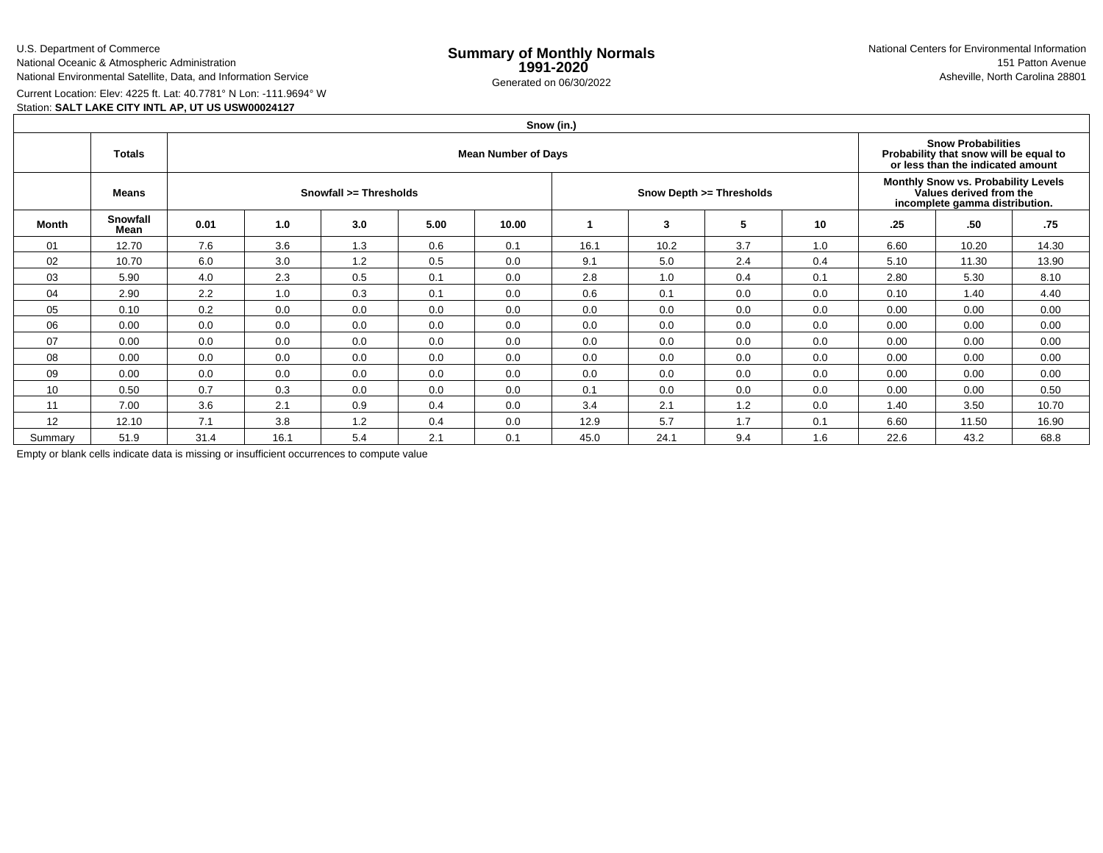U.S. Department of CommerceNational Oceanic & Atmospheric Administration

National Environmental Satellite, Data, and Information Service

e **Summary of Monthly Normals**<br> **1991-2020** 151 Patton Avenue **1991-2020** 1997-2020 e Generated on 06/30/2022 Asheville, North Carolina 28801 National Centers for Environmental Information151 Patton Avenue

Current Location: Elev: 4225 ft. Lat: 40.7781° N Lon: -111.9694° W

# Station: **SALT LAKE CITY INTL AP, UT US USW00024127**

|         |                  |                            |      |     |      |       | Snow (in.) |      |                          |     |                                                                                                  |                                                                                                          |       |  |  |
|---------|------------------|----------------------------|------|-----|------|-------|------------|------|--------------------------|-----|--------------------------------------------------------------------------------------------------|----------------------------------------------------------------------------------------------------------|-------|--|--|
|         | <b>Totals</b>    | <b>Mean Number of Days</b> |      |     |      |       |            |      |                          |     |                                                                                                  | <b>Snow Probabilities</b><br>Probability that snow will be equal to<br>or less than the indicated amount |       |  |  |
|         | <b>Means</b>     | Snowfall >= Thresholds     |      |     |      |       |            |      | Snow Depth >= Thresholds |     | Monthly Snow vs. Probability Levels<br>Values derived from the<br>incomplete gamma distribution. |                                                                                                          |       |  |  |
| Month   | Snowfall<br>Mean | 0.01                       | 1.0  | 3.0 | 5.00 | 10.00 |            | 3    | 5                        | 10  | .25                                                                                              | .50                                                                                                      | .75   |  |  |
| 01      | 12.70            | 7.6                        | 3.6  | 1.3 | 0.6  | 0.1   | 16.1       | 10.2 | 3.7                      | 1.0 | 6.60                                                                                             | 10.20                                                                                                    | 14.30 |  |  |
| 02      | 10.70            | 6.0                        | 3.0  | 1.2 | 0.5  | 0.0   | 9.1        | 5.0  | 2.4                      | 0.4 | 5.10                                                                                             | 11.30                                                                                                    | 13.90 |  |  |
| 03      | 5.90             | 4.0                        | 2.3  | 0.5 | 0.1  | 0.0   | 2.8        | 1.0  | 0.4                      | 0.1 | 2.80                                                                                             | 5.30                                                                                                     | 8.10  |  |  |
| 04      | 2.90             | 2.2                        | 1.0  | 0.3 | 0.1  | 0.0   | 0.6        | 0.1  | 0.0                      | 0.0 | 0.10                                                                                             | 1.40                                                                                                     | 4.40  |  |  |
| 05      | 0.10             | 0.2                        | 0.0  | 0.0 | 0.0  | 0.0   | 0.0        | 0.0  | 0.0                      | 0.0 | 0.00                                                                                             | 0.00                                                                                                     | 0.00  |  |  |
| 06      | 0.00             | 0.0                        | 0.0  | 0.0 | 0.0  | 0.0   | 0.0        | 0.0  | 0.0                      | 0.0 | 0.00                                                                                             | 0.00                                                                                                     | 0.00  |  |  |
| 07      | 0.00             | 0.0                        | 0.0  | 0.0 | 0.0  | 0.0   | 0.0        | 0.0  | 0.0                      | 0.0 | 0.00                                                                                             | 0.00                                                                                                     | 0.00  |  |  |
| 08      | 0.00             | 0.0                        | 0.0  | 0.0 | 0.0  | 0.0   | 0.0        | 0.0  | 0.0                      | 0.0 | 0.00                                                                                             | 0.00                                                                                                     | 0.00  |  |  |
| 09      | 0.00             | 0.0                        | 0.0  | 0.0 | 0.0  | 0.0   | 0.0        | 0.0  | 0.0                      | 0.0 | 0.00                                                                                             | 0.00                                                                                                     | 0.00  |  |  |
| 10      | 0.50             | 0.7                        | 0.3  | 0.0 | 0.0  | 0.0   | 0.1        | 0.0  | 0.0                      | 0.0 | 0.00                                                                                             | 0.00                                                                                                     | 0.50  |  |  |
| 11      | 7.00             | 3.6                        | 2.1  | 0.9 | 0.4  | 0.0   | 3.4        | 2.1  | 1.2                      | 0.0 | 1.40                                                                                             | 3.50                                                                                                     | 10.70 |  |  |
| 12      | 12.10            | 7.1                        | 3.8  | 1.2 | 0.4  | 0.0   | 12.9       | 5.7  | 1.7                      | 0.1 | 6.60                                                                                             | 11.50                                                                                                    | 16.90 |  |  |
| Summary | 51.9             | 31.4                       | 16.1 | 5.4 | 2.1  | 0.1   | 45.0       | 24.1 | 9.4                      | 1.6 | 22.6                                                                                             | 43.2                                                                                                     | 68.8  |  |  |

Empty or blank cells indicate data is missing or insufficient occurrences to compute value